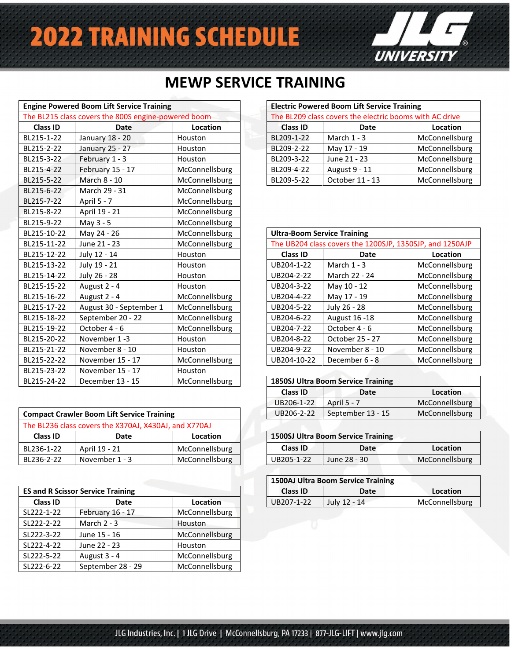# **2022 TRAINING SCHEDULE**



### **MEWP SERVICE TRAINING**

|             | <b>Engine Powered Boom Lift Service Training</b>    |                |                                    | <b>Electric Powered Boom Lift Service Training</b>       |                |
|-------------|-----------------------------------------------------|----------------|------------------------------------|----------------------------------------------------------|----------------|
|             | The BL215 class covers the 800S engine-powered boom |                |                                    | The BL209 class covers the electric booms with AC drive  |                |
| Class ID    | <b>Date</b>                                         | Location       | <b>Class ID</b>                    | <b>Date</b>                                              | Location       |
| BL215-1-22  | January 18 - 20                                     | Houston        | BL209-1-22                         | March $1 - 3$                                            | McConnellsburg |
| BL215-2-22  | January 25 - 27                                     | Houston        | BL209-2-22                         | May 17 - 19                                              | McConnellsburg |
| BL215-3-22  | February 1 - 3                                      | Houston        | BL209-3-22                         | June 21 - 23                                             | McConnellsburg |
| BL215-4-22  | February 15 - 17                                    | McConnellsburg | BL209-4-22                         | August 9 - 11                                            | McConnellsburg |
| BL215-5-22  | March 8 - 10                                        | McConnellsburg | BL209-5-22                         | October 11 - 13                                          | McConnellsburg |
| BL215-6-22  | March 29 - 31                                       | McConnellsburg |                                    |                                                          |                |
| BL215-7-22  | April 5 - 7                                         | McConnellsburg |                                    |                                                          |                |
| BL215-8-22  | April 19 - 21                                       | McConnellsburg |                                    |                                                          |                |
| BL215-9-22  | May 3 - 5                                           | McConnellsburg |                                    |                                                          |                |
| BL215-10-22 | May 24 - 26                                         | McConnellsburg | <b>Ultra-Boom Service Training</b> |                                                          |                |
| BL215-11-22 | June 21 - 23                                        | McConnellsburg |                                    | The UB204 class covers the 1200SJP, 1350SJP, and 1250AJP |                |
| BL215-12-22 | July 12 - 14                                        | Houston        | <b>Class ID</b>                    | <b>Date</b>                                              | Location       |
| BL215-13-22 | July 19 - 21                                        | Houston        | UB204-1-22                         | March $1 - 3$                                            | McConnellsburg |
| BL215-14-22 | July 26 - 28                                        | Houston        | UB204-2-22                         | March 22 - 24                                            | McConnellsburg |
| BL215-15-22 | August 2 - 4                                        | Houston        | UB204-3-22                         | May 10 - 12                                              | McConnellsburg |
| BL215-16-22 | August 2 - 4                                        | McConnellsburg | UB204-4-22                         | May 17 - 19                                              | McConnellsburg |
| BL215-17-22 | August 30 - September 1                             | McConnellsburg | UB204-5-22                         | July 26 - 28                                             | McConnellsburg |
| BL215-18-22 | September 20 - 22                                   | McConnellsburg | UB204-6-22                         | August 16 - 18                                           | McConnellsburg |
| BL215-19-22 | October 4 - 6                                       | McConnellsburg | UB204-7-22                         | October 4 - 6                                            | McConnellsburg |
| BL215-20-22 | November 1-3                                        | Houston        | UB204-8-22                         | October 25 - 27                                          | McConnellsburg |
| BL215-21-22 | November 8 - 10                                     | Houston        | UB204-9-22                         | November 8 - 10                                          | McConnellsburg |
| BL215-22-22 | November 15 - 17                                    | McConnellsburg | UB204-10-22                        | December 6 - 8                                           | McConnellsburg |
| BL215-23-22 | November 15 - 17                                    | Houston        |                                    |                                                          |                |
| BL215-24-22 | December 13 - 15                                    | McConnellsburg |                                    | <b>1850SJ Ultra Boom Service Training</b>                |                |

| <b>Compact Crawler Boom Lift Service Training</b> |                                                       |                | UB206-2-22                                | September 13 - 15 | McConnellsburg |
|---------------------------------------------------|-------------------------------------------------------|----------------|-------------------------------------------|-------------------|----------------|
|                                                   | The BL236 class covers the X370AJ, X430AJ, and X770AJ |                |                                           |                   |                |
| Class ID                                          | Date                                                  | Location       | <b>1500SJ Ultra Boom Service Training</b> |                   |                |
| BL236-1-22                                        | April 19 - 21                                         | McConnellsburg | <b>Class ID</b>                           | Date              | Location       |
| BL236-2-22                                        | November 1 - 3                                        | McConnellsburg | UB205-1-22                                | June 28 - 30      | McConnellsburg |

|                 | <b>ES and R Scissor Service Training</b> |                 | <b>Class ID</b> | Date         | Location       |
|-----------------|------------------------------------------|-----------------|-----------------|--------------|----------------|
| <b>Class ID</b> | Date                                     | <b>Location</b> | UB207-1-22      | July 12 - 14 | McConnellsburg |
| SL222-1-22      | February 16 - 17                         | McConnellsburg  |                 |              |                |
| SL222-2-22      | March $2 - 3$                            | Houston         |                 |              |                |
| SL222-3-22      | June 15 - 16                             | McConnellsburg  |                 |              |                |
| SL222-4-22      | June 22 - 23                             | Houston         |                 |              |                |
| SL222-5-22      | August 3 - 4                             | McConnellsburg  |                 |              |                |
| SL222-6-22      | September 28 - 29                        | McConnellsburg  |                 |              |                |

Rev 1

| <b>Electric Powered Boom Lift Service Training</b> |                                                         |                |  |  |  |
|----------------------------------------------------|---------------------------------------------------------|----------------|--|--|--|
|                                                    | The BL209 class covers the electric booms with AC drive |                |  |  |  |
| <b>Class ID</b><br>Location<br>Date                |                                                         |                |  |  |  |
| BL209-1-22                                         | March $1 - 3$                                           | McConnellsburg |  |  |  |
| BL209-2-22                                         | May 17 - 19                                             | McConnellsburg |  |  |  |
| BL209-3-22                                         | June 21 - 23                                            | McConnellsburg |  |  |  |
| BL209-4-22                                         | August 9 - 11                                           | McConnellsburg |  |  |  |
| BL209-5-22                                         | October 11 - 13                                         | McConnellsburg |  |  |  |

| <b>Ultra-Boom Service Training</b> |                                                          |                |  |  |
|------------------------------------|----------------------------------------------------------|----------------|--|--|
|                                    | The UB204 class covers the 1200SJP, 1350SJP, and 1250AJP |                |  |  |
| <b>Class ID</b>                    | Date                                                     | Location       |  |  |
| UB204-1-22                         | March $1 - 3$                                            | McConnellsburg |  |  |
| UB204-2-22                         | March 22 - 24                                            | McConnellsburg |  |  |
| UB204-3-22                         | May 10 - 12                                              | McConnellsburg |  |  |
| UB204-4-22                         | May 17 - 19                                              | McConnellsburg |  |  |
| UB204-5-22                         | July 26 - 28                                             | McConnellsburg |  |  |
| UB204-6-22                         | August 16 - 18                                           | McConnellsburg |  |  |
| UB204-7-22                         | October 4 - 6                                            | McConnellsburg |  |  |
| UB204-8-22                         | October 25 - 27                                          | McConnellsburg |  |  |
| UB204-9-22                         | November 8 - 10                                          | McConnellsburg |  |  |
| UB204-10-22                        | December 6 - 8                                           | McConnellsburg |  |  |

| <b>1850SJ Ultra Boom Service Training</b> |                   |                |  |  |  |
|-------------------------------------------|-------------------|----------------|--|--|--|
| Class ID<br>Location<br>Date              |                   |                |  |  |  |
| UB206-1-22                                | April 5 - 7       | McConnellsburg |  |  |  |
| UB206-2-22                                | September 13 - 15 | McConnellsburg |  |  |  |

| <b>1500SJ Ultra Boom Service Training</b> |              |                |  |  |  |
|-------------------------------------------|--------------|----------------|--|--|--|
| Class ID<br>Location<br>Date              |              |                |  |  |  |
| UB205-1-22                                | June 28 - 30 | McConnellsburg |  |  |  |

| 1500AJ Ultra Boom Service Training |                  |                |  |  |  |  |
|------------------------------------|------------------|----------------|--|--|--|--|
| <b>Class ID</b>                    | Location<br>Date |                |  |  |  |  |
| UB207-1-22                         | July 12 - 14     | McConnellsburg |  |  |  |  |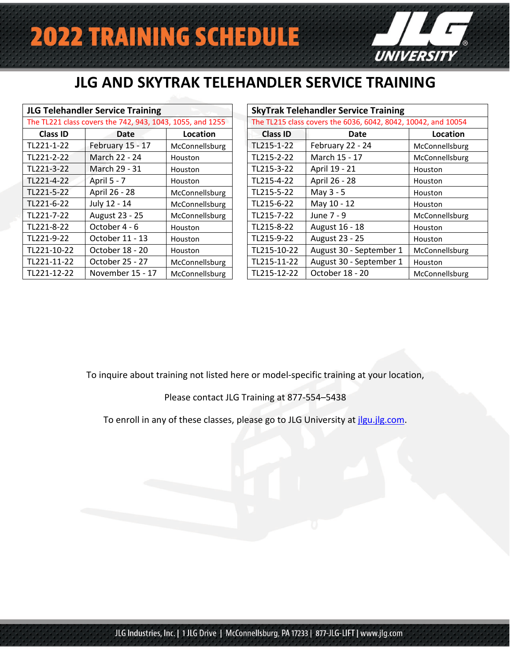

## **JLG AND SKYTRAK TELEHANDLER SERVICE TRAINING**

| <b>JLG Telehandler Service Training</b>                   |                  |                | <b>SkyTrak Telehandler Service Training</b> |                                                         |           |  |
|-----------------------------------------------------------|------------------|----------------|---------------------------------------------|---------------------------------------------------------|-----------|--|
| The TL221 class covers the 742, 943, 1043, 1055, and 1255 |                  |                |                                             | The TL215 class covers the 6036, 6042, 8042, 10042, and |           |  |
| <b>Class ID</b>                                           | Date             | Location       | <b>Class ID</b>                             | Date                                                    | <b>Lo</b> |  |
| TL221-1-22                                                | February 15 - 17 | McConnellsburg | TL215-1-22                                  | February 22 - 24                                        | McConn    |  |
| TL221-2-22                                                | March 22 - 24    | Houston        | TL215-2-22                                  | March 15 - 17                                           | McConn    |  |
| TL221-3-22                                                | March 29 - 31    | Houston        | TL215-3-22                                  | April 19 - 21                                           | Houston   |  |
| TL221-4-22                                                | April 5 - 7      | Houston        | TL215-4-22                                  | April 26 - 28                                           | Houston   |  |
| TL221-5-22                                                | April 26 - 28    | McConnellsburg | TL215-5-22                                  | May 3 - 5                                               | Houston   |  |
| TL221-6-22                                                | July 12 - 14     | McConnellsburg | TL215-6-22                                  | May 10 - 12                                             | Houston   |  |
| TL221-7-22                                                | August 23 - 25   | McConnellsburg | TL215-7-22                                  | June 7 - 9                                              | McConn    |  |
| TL221-8-22                                                | October 4 - 6    | Houston        | TL215-8-22                                  | August 16 - 18                                          | Houston   |  |
| TL221-9-22                                                | October 11 - 13  | Houston        | TL215-9-22                                  | August 23 - 25                                          | Houston   |  |
| TL221-10-22                                               | October 18 - 20  | Houston        | TL215-10-22                                 | August 30 - September 1                                 | McConn    |  |
| TL221-11-22                                               | October 25 - 27  | McConnellsburg | TL215-11-22                                 | August 30 - September 1                                 | Houston   |  |
| TL221-12-22                                               | November 15 - 17 | McConnellsburg | TL215-12-22                                 | October 18 - 20                                         | McConn    |  |

Rev 1

|                 | <b>JLG Telehandler Service Training</b>                   |                | <b>SkyTrak Telehandler Service Training</b>                   |                 |                         |                |
|-----------------|-----------------------------------------------------------|----------------|---------------------------------------------------------------|-----------------|-------------------------|----------------|
|                 | The TL221 class covers the 742, 943, 1043, 1055, and 1255 |                | The TL215 class covers the 6036, 6042, 8042, 10042, and 10054 |                 |                         |                |
| <b>Class ID</b> | Date                                                      | Location       |                                                               | <b>Class ID</b> | Date                    | Location       |
| TL221-1-22      | February 15 - 17                                          | McConnellsburg |                                                               | TL215-1-22      | February 22 - 24        | McConnellsburg |
| TL221-2-22      | March 22 - 24                                             | <b>Houston</b> |                                                               | TL215-2-22      | March 15 - 17           | McConnellsburg |
| TL221-3-22      | March 29 - 31                                             | Houston        |                                                               | TL215-3-22      | April 19 - 21           | Houston        |
| TL221-4-22      | April 5 - 7                                               | <b>Houston</b> |                                                               | TL215-4-22      | April 26 - 28           | Houston        |
| TL221-5-22      | April 26 - 28                                             | McConnellsburg |                                                               | TL215-5-22      | May $3 - 5$             | Houston        |
| TL221-6-22      | July 12 - 14                                              | McConnellsburg |                                                               | TL215-6-22      | May 10 - 12             | Houston        |
| TL221-7-22      | August 23 - 25                                            | McConnellsburg |                                                               | TL215-7-22      | June 7 - 9              | McConnellsburg |
| TL221-8-22      | October 4 - 6                                             | <b>Houston</b> |                                                               | TL215-8-22      | August 16 - 18          | Houston        |
| TL221-9-22      | October 11 - 13                                           | <b>Houston</b> |                                                               | TL215-9-22      | August 23 - 25          | Houston        |
| TL221-10-22     | October 18 - 20                                           | Houston        |                                                               | TL215-10-22     | August 30 - September 1 | McConnellsburg |
| TL221-11-22     | October 25 - 27                                           | McConnellsburg |                                                               | TL215-11-22     | August 30 - September 1 | Houston        |
| TL221-12-22     | November 15 - 17                                          | McConnellsburg |                                                               | TL215-12-22     | October 18 - 20         | McConnellsburg |

To inquire about training not listed here or model-specific training at your location,

Please contact JLG Training at 877-554–5438

To enroll in any of these classes, please go to JLG University at *ilgu.jlg.com*.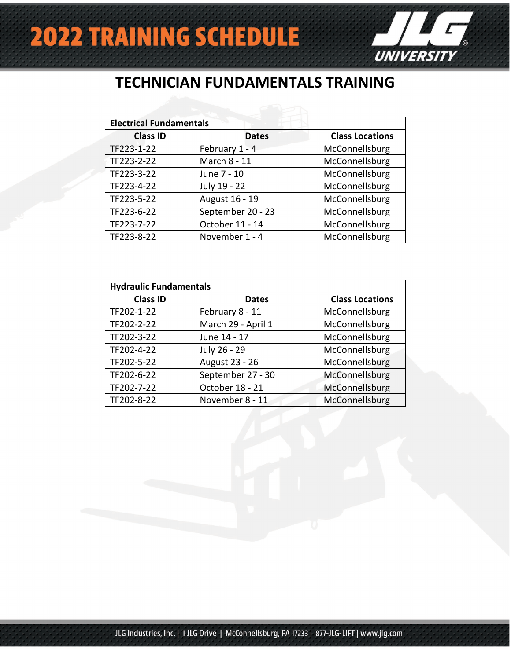

#### **TECHNICIAN FUNDAMENTALS TRAINING**

| <b>Electrical Fundamentals</b> |                   |                        |  |  |  |  |
|--------------------------------|-------------------|------------------------|--|--|--|--|
| <b>Class ID</b>                | <b>Dates</b>      | <b>Class Locations</b> |  |  |  |  |
| TF223-1-22                     | February 1 - 4    | McConnellsburg         |  |  |  |  |
| TF223-2-22                     | March 8 - 11      | McConnellsburg         |  |  |  |  |
| TF223-3-22                     | June 7 - 10       | McConnellsburg         |  |  |  |  |
| TF223-4-22                     | July 19 - 22      | McConnellsburg         |  |  |  |  |
| TF223-5-22                     | August 16 - 19    | McConnellsburg         |  |  |  |  |
| TF223-6-22                     | September 20 - 23 | McConnellsburg         |  |  |  |  |
| TF223-7-22                     | October 11 - 14   | McConnellsburg         |  |  |  |  |
| TF223-8-22                     | November 1 - 4    | McConnellsburg         |  |  |  |  |

| <b>Hydraulic Fundamentals</b> |                    |                        |  |  |  |  |
|-------------------------------|--------------------|------------------------|--|--|--|--|
| <b>Class ID</b>               | <b>Dates</b>       | <b>Class Locations</b> |  |  |  |  |
| TF202-1-22                    | February 8 - 11    | McConnellsburg         |  |  |  |  |
| TF202-2-22                    | March 29 - April 1 | McConnellsburg         |  |  |  |  |
| TF202-3-22                    | June 14 - 17       | McConnellsburg         |  |  |  |  |
| TF202-4-22                    | July 26 - 29       | McConnellsburg         |  |  |  |  |
| TF202-5-22                    | August 23 - 26     | McConnellsburg         |  |  |  |  |
| TF202-6-22                    | September 27 - 30  | McConnellsburg         |  |  |  |  |
| TF202-7-22                    | October 18 - 21    | McConnellsburg         |  |  |  |  |
| TF202-8-22                    | November 8 - 11    | McConnellsburg         |  |  |  |  |

Rev 1